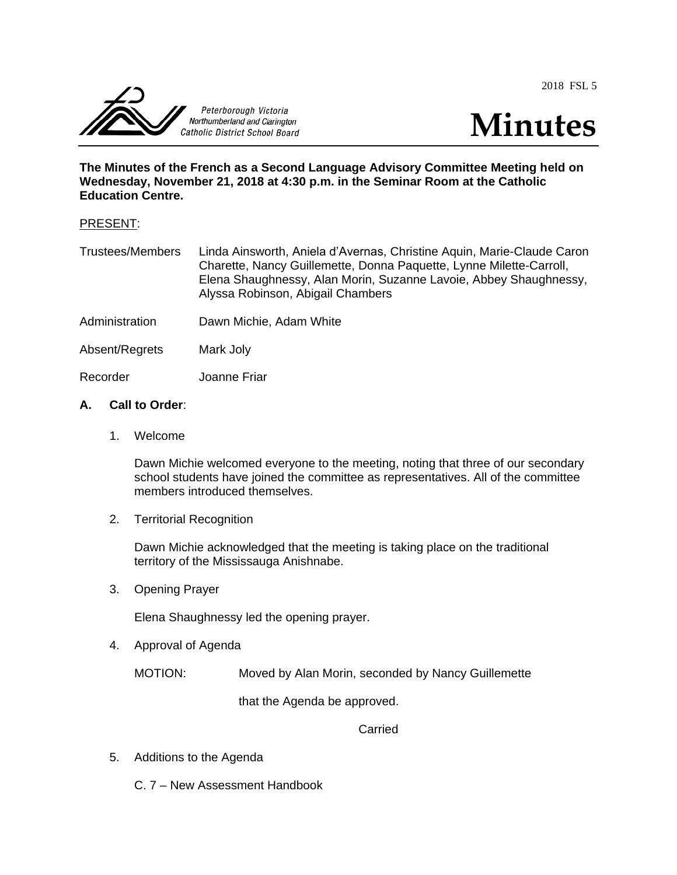2018 FSL 5





**The Minutes of the French as a Second Language Advisory Committee Meeting held on Wednesday, November 21, 2018 at 4:30 p.m. in the Seminar Room at the Catholic Education Centre.**

### PRESENT:

Trustees/Members Linda Ainsworth, Aniela d'Avernas, Christine Aquin, Marie-Claude Caron Charette, Nancy Guillemette, Donna Paquette, Lynne Milette-Carroll, Elena Shaughnessy, Alan Morin, Suzanne Lavoie, Abbey Shaughnessy, Alyssa Robinson, Abigail Chambers

- Administration Dawn Michie, Adam White
- Absent/Regrets Mark Joly

Recorder Joanne Friar

### **A. Call to Order**:

1. Welcome

Dawn Michie welcomed everyone to the meeting, noting that three of our secondary school students have joined the committee as representatives. All of the committee members introduced themselves.

2. Territorial Recognition

Dawn Michie acknowledged that the meeting is taking place on the traditional territory of the Mississauga Anishnabe.

3. Opening Prayer

Elena Shaughnessy led the opening prayer.

4. Approval of Agenda

MOTION: Moved by Alan Morin, seconded by Nancy Guillemette

that the Agenda be approved.

**Carried** 

5. Additions to the Agenda

C. 7 – New Assessment Handbook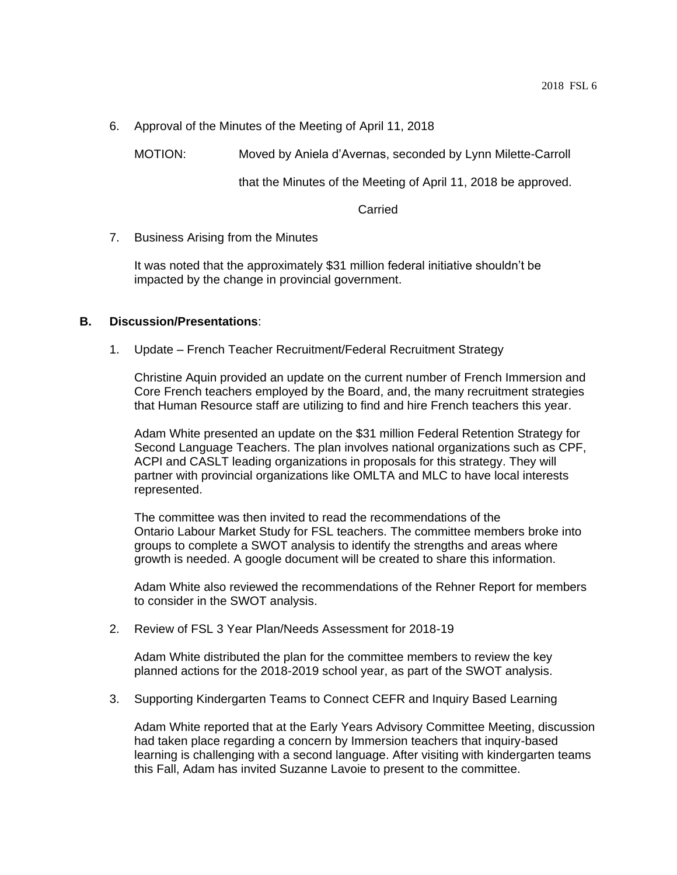6. Approval of the Minutes of the Meeting of April 11, 2018

MOTION: Moved by Aniela d'Avernas, seconded by Lynn Milette-Carroll

that the Minutes of the Meeting of April 11, 2018 be approved.

Carried

7. Business Arising from the Minutes

It was noted that the approximately \$31 million federal initiative shouldn't be impacted by the change in provincial government.

### **B. Discussion/Presentations**:

1. Update – French Teacher Recruitment/Federal Recruitment Strategy

Christine Aquin provided an update on the current number of French Immersion and Core French teachers employed by the Board, and, the many recruitment strategies that Human Resource staff are utilizing to find and hire French teachers this year.

Adam White presented an update on the \$31 million Federal Retention Strategy for Second Language Teachers. The plan involves national organizations such as CPF, ACPI and CASLT leading organizations in proposals for this strategy. They will partner with provincial organizations like OMLTA and MLC to have local interests represented.

The committee was then invited to read the recommendations of the Ontario Labour Market Study for FSL teachers. The committee members broke into groups to complete a SWOT analysis to identify the strengths and areas where growth is needed. A google document will be created to share this information.

Adam White also reviewed the recommendations of the Rehner Report for members to consider in the SWOT analysis.

2. Review of FSL 3 Year Plan/Needs Assessment for 2018-19

Adam White distributed the plan for the committee members to review the key planned actions for the 2018-2019 school year, as part of the SWOT analysis.

3. Supporting Kindergarten Teams to Connect CEFR and Inquiry Based Learning

Adam White reported that at the Early Years Advisory Committee Meeting, discussion had taken place regarding a concern by Immersion teachers that inquiry-based learning is challenging with a second language. After visiting with kindergarten teams this Fall, Adam has invited Suzanne Lavoie to present to the committee.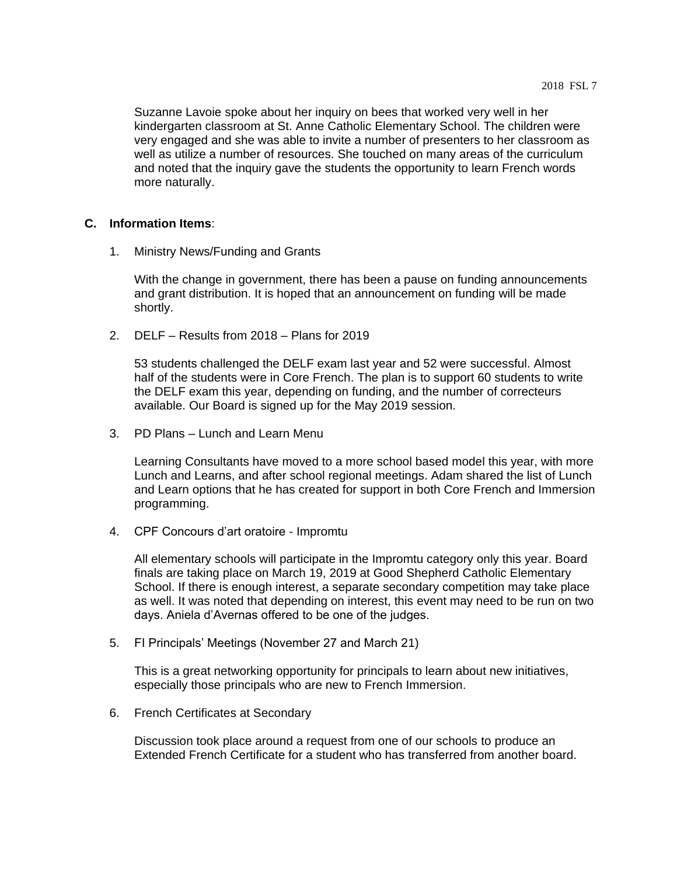Suzanne Lavoie spoke about her inquiry on bees that worked very well in her kindergarten classroom at St. Anne Catholic Elementary School. The children were very engaged and she was able to invite a number of presenters to her classroom as well as utilize a number of resources. She touched on many areas of the curriculum and noted that the inquiry gave the students the opportunity to learn French words more naturally.

## **C. Information Items**:

1. Ministry News/Funding and Grants

With the change in government, there has been a pause on funding announcements and grant distribution. It is hoped that an announcement on funding will be made shortly.

2. DELF – Results from 2018 – Plans for 2019

53 students challenged the DELF exam last year and 52 were successful. Almost half of the students were in Core French. The plan is to support 60 students to write the DELF exam this year, depending on funding, and the number of correcteurs available. Our Board is signed up for the May 2019 session.

3. PD Plans – Lunch and Learn Menu

Learning Consultants have moved to a more school based model this year, with more Lunch and Learns, and after school regional meetings. Adam shared the list of Lunch and Learn options that he has created for support in both Core French and Immersion programming.

4. CPF Concours d'art oratoire - Impromtu

All elementary schools will participate in the Impromtu category only this year. Board finals are taking place on March 19, 2019 at Good Shepherd Catholic Elementary School. If there is enough interest, a separate secondary competition may take place as well. It was noted that depending on interest, this event may need to be run on two days. Aniela d'Avernas offered to be one of the judges.

5. FI Principals' Meetings (November 27 and March 21)

This is a great networking opportunity for principals to learn about new initiatives, especially those principals who are new to French Immersion.

6. French Certificates at Secondary

Discussion took place around a request from one of our schools to produce an Extended French Certificate for a student who has transferred from another board.